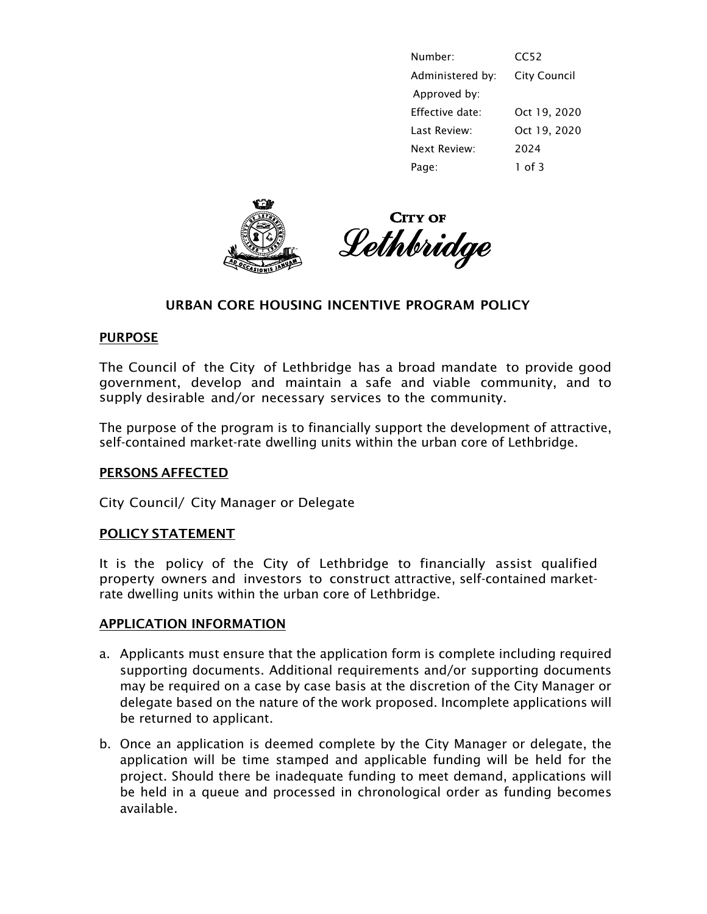|       | Number:          | CC52                |
|-------|------------------|---------------------|
|       | Administered by: | <b>City Council</b> |
|       | Approved by:     |                     |
|       | Effective date:  | Oct 19, 2020        |
|       | Last Review:     | Oct 19, 2020        |
|       | Next Review:     | 2024                |
| Page: |                  | $1$ of 3            |





# URBAN CORE HOUSING INCENTIVE PROGRAM POLICY

#### PURPOSE

The Council of the City of Lethbridge has a broad mandate to provide good government, develop and maintain a safe and viable community, and to supply desirable and/or necessary services to the community.

The purpose of the program is to financially support the development of attractive, self-contained market-rate dwelling units within the urban core of Lethbridge.

## PERSONS AFFECTED

City Council/ City Manager or Delegate

#### POLICY STATEMENT

It is the policy of the City of Lethbridge to financially assist qualified property owners and investors to construct attractive, self-contained marketrate dwelling units within the urban core of Lethbridge.

#### APPLICATION INFORMATION

- a. Applicants must ensure that the application form is complete including required supporting documents. Additional requirements and/or supporting documents may be required on a case by case basis at the discretion of the City Manager or delegate based on the nature of the work proposed. Incomplete applications will be returned to applicant.
- b. Once an application is deemed complete by the City Manager or delegate, the application will be time stamped and applicable funding will be held for the project. Should there be inadequate funding to meet demand, applications will be held in a queue and processed in chronological order as funding becomes available.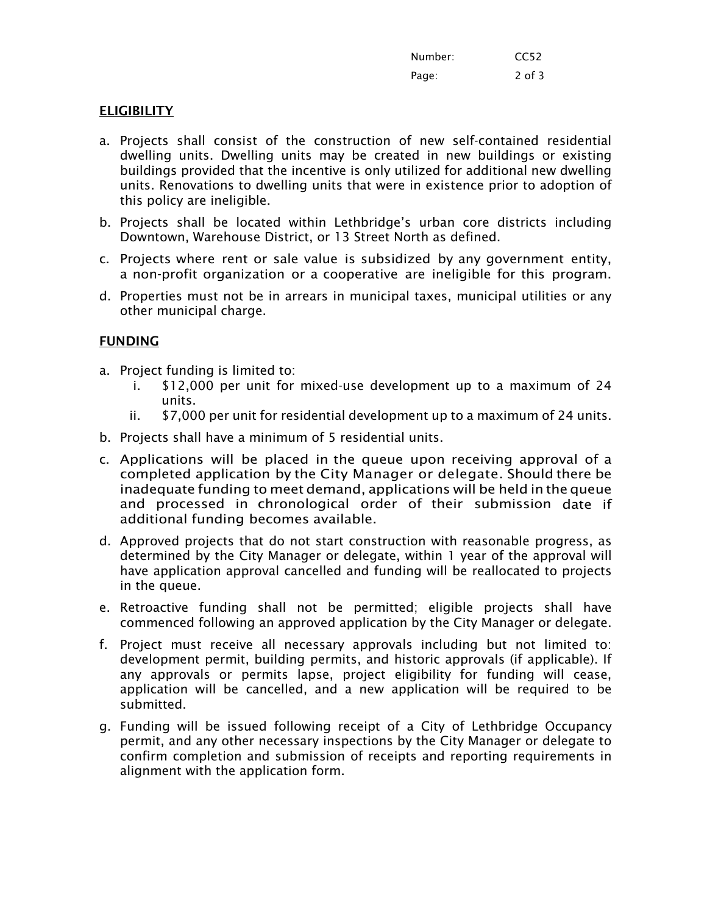| Number: | CC <sub>52</sub> |
|---------|------------------|
| Page:   | 2 of 3           |

# **ELIGIBILITY**

- a. Projects shall consist of the construction of new self-contained residential dwelling units. Dwelling units may be created in new buildings or existing buildings provided that the incentive is only utilized for additional new dwelling units. Renovations to dwelling units that were in existence prior to adoption of this policy are ineligible.
- b. Projects shall be located within Lethbridge's urban core districts including Downtown, Warehouse District, or 13 Street North as defined.
- c. Projects where rent or sale value is subsidized by any government entity, a non-profit organization or a cooperative are ineligible for this program.
- d. Properties must not be in arrears in municipal taxes, municipal utilities or any other municipal charge.

## FUNDING

- a. Project funding is limited to:
	- i. \$12,000 per unit for mixed-use development up to a maximum of 24 units.
	- ii. \$7,000 per unit for residential development up to a maximum of 24 units.
- b. Projects shall have a minimum of 5 residential units.
- c. Applications will be placed in the queue upon receiving approval of a completed application by the City Manager or delegate. Should there be inadequate funding to meet demand, applications will be held in the queue and processed in chronological order of their submission date if additional funding becomes available.
- d. Approved projects that do not start construction with reasonable progress, as determined by the City Manager or delegate, within 1 year of the approval will have application approval cancelled and funding will be reallocated to projects in the queue.
- e. Retroactive funding shall not be permitted; eligible projects shall have commenced following an approved application by the City Manager or delegate.
- f. Project must receive all necessary approvals including but not limited to: development permit, building permits, and historic approvals (if applicable). If any approvals or permits lapse, project eligibility for funding will cease, application will be cancelled, and a new application will be required to be submitted.
- g. Funding will be issued following receipt of a City of Lethbridge Occupancy permit, and any other necessary inspections by the City Manager or delegate to confirm completion and submission of receipts and reporting requirements in alignment with the application form.